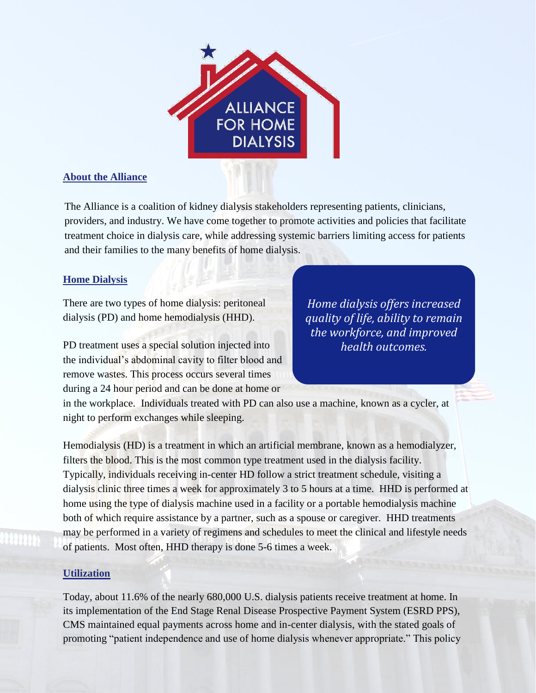

## **About the Alliance**

The Alliance is a coalition of kidney dialysis stakeholders representing patients, clinicians, providers, and industry. We have come together to promote activities and policies that facilitate treatment choice in dialysis care, while addressing systemic barriers limiting access for patients and their families to the many benefits of home dialysis.

## **Home Dialysis**

There are two types of home dialysis: peritoneal dialysis (PD) and home hemodialysis (HHD).

PD treatment uses a special solution injected into the individual's abdominal cavity to filter blood and remove wastes. This process occurs several times during a 24 hour period and can be done at home or

*Home dialysis offers increased quality of life, ability to remain the workforce, and improved health outcomes.*

in the workplace. Individuals treated with PD can also use a machine, known as a cycler, at night to perform exchanges while sleeping.

Hemodialysis (HD) is a treatment in which an artificial membrane, known as a hemodialyzer, filters the blood. This is the most common type treatment used in the dialysis facility. Typically, individuals receiving in-center HD follow a strict treatment schedule, visiting a dialysis clinic three times a week for approximately 3 to 5 hours at a time. HHD is performed at home using the type of dialysis machine used in a facility or a portable hemodialysis machine both of which require assistance by a partner, such as a spouse or caregiver. HHD treatments may be performed in a variety of regimens and schedules to meet the clinical and lifestyle needs of patients. Most often, HHD therapy is done 5-6 times a week.

## **Utilization**

Today, about 11.6% of the nearly 680,000 U.S. dialysis patients receive treatment at home. In its implementation of the End Stage Renal Disease Prospective Payment System (ESRD PPS), CMS maintained equal payments across home and in-center dialysis, with the stated goals of promoting "patient independence and use of home dialysis whenever appropriate." This policy